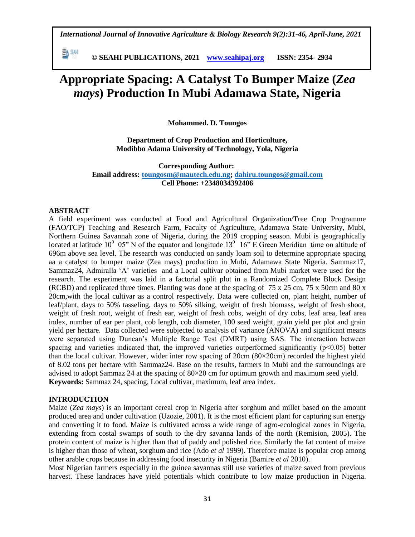*International Journal of Innovative Agriculture & Biology Research 9(2):31-46, April-June, 2021*

 **© SEAHI PUBLICATIONS, 2021 [www.seahipaj.org](http://www.seahipaj.org/) ISSN: 2354- 2934**

# **Appropriate Spacing: A Catalyst To Bumper Maize (***Zea mays***) Production In Mubi Adamawa State, Nigeria**

**Mohammed. D. Toungos**

**Department of Crop Production and Horticulture, Modibbo Adama University of Technology, Yola, Nigeria**

**Corresponding Author: Email address: [toungosm@mautech.edu.ng;](mailto:toungosm@mautech.edu.ng) [dahiru.toungos@gmail.com](mailto:dahiru.toungos@gmail.com) Cell Phone: +2348034392406**

# **ABSTRACT**

勤細

A field experiment was conducted at Food and Agricultural Organization/Tree Crop Programme (FAO/TCP) Teaching and Research Farm, Faculty of Agriculture, Adamawa State University, Mubi, Northern Guinea Savannah zone of Nigeria, during the 2019 cropping season. Mubi is geographically located at latitude 10<sup>0</sup> 05" N of the equator and longitude 13<sup>0</sup> 16" E Green Meridian time on altitude of 696m above sea level. The research was conducted on sandy loam soil to determine appropriate spacing aa a catalyst to bumper maize (Zea mays) production in Mubi, Adamawa State Nigeria. Sammaz17, Sammaz24, Admiralla "A" varieties and a Local cultivar obtained from Mubi market were used for the research. The experiment was laid in a factorial split plot in a Randomized Complete Block Design (RCBD) and replicated three times. Planting was done at the spacing of 75 x 25 cm, 75 x 50cm and 80 x 20cm,with the local cultivar as a control respectively. Data were collected on, plant height, number of leaf/plant, days to 50% tasseling, days to 50% silking, weight of fresh biomass, weight of fresh shoot, weight of fresh root, weight of fresh ear, weight of fresh cobs, weight of dry cobs, leaf area, leaf area index, number of ear per plant, cob length, cob diameter, 100 seed weight, grain yield per plot and grain yield per hectare. Data collected were subjected to analysis of variance (ANOVA) and significant means were separated using Duncan"s Multiple Range Test (DMRT) using SAS. The interaction between spacing and varieties indicated that, the improved varieties outperformed significantly  $(p<0.05)$  better than the local cultivar. However, wider inter row spacing of 20cm (80×20cm) recorded the highest yield of 8.02 tons per hectare with Sammaz24. Base on the results, farmers in Mubi and the surroundings are advised to adopt Sammaz 24 at the spacing of  $80 \times 20$  cm for optimum growth and maximum seed yield. **Keywords:** Sammaz 24, spacing, Local cultivar, maximum, leaf area index.

# **INTRODUCTION**

Maize (*Zea mays*) is an important cereal crop in Nigeria after sorghum and millet based on the amount produced area and under cultivation (Uzozie, 2001). It is the most efficient plant for capturing sun energy and converting it to food. Maize is cultivated across a wide range of agro-ecological zones in Nigeria, extending from costal swamps of south to the dry savanna lands of the north (Remision, 2005). The protein content of maize is higher than that of paddy and polished rice. Similarly the fat content of maize is higher than those of wheat, sorghum and rice (Ado *et al* 1999). Therefore maize is popular crop among other arable crops because in addressing food insecurity in Nigeria (Bamire *et al* 2010).

Most Nigerian farmers especially in the guinea savannas still use varieties of maize saved from previous harvest. These landraces have yield potentials which contribute to low maize production in Nigeria.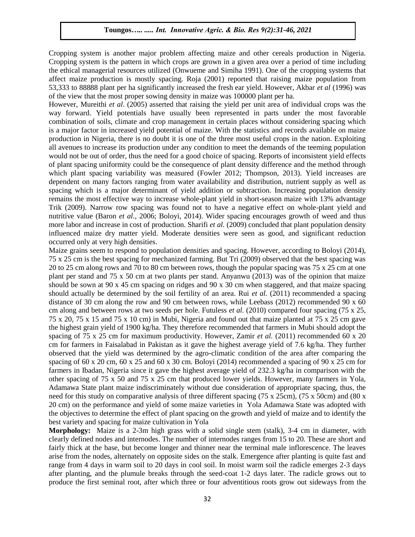Cropping system is another major problem affecting maize and other cereals production in Nigeria. Cropping system is the pattern in which crops are grown in a given area over a period of time including the ethical managerial resources utilized (Onwueme and Simiha 1991). One of the cropping systems that affect maize production is mostly spacing. Roja (2001) reported that raising maize population from 53,333 to 88888 plant per ha significantly increased the fresh ear yield. However, Akbar *et al* (1996) was of the view that the most proper sowing density in maize was 100000 plant per ha.

However, Mureithi *et al*. (2005) asserted that raising the yield per unit area of individual crops was the way forward. Yield potentials have usually been represented in parts under the most favorable combination of soils, climate and crop management in certain places without considering spacing which is a major factor in increased yield potential of maize. With the statistics and records available on maize production in Nigeria, there is no doubt it is one of the three most useful crops in the nation. Exploiting all avenues to increase its production under any condition to meet the demands of the teeming population would not be out of order, thus the need for a good choice of spacing. Reports of inconsistent yield effects of plant spacing uniformity could be the consequence of plant density difference and the method through which plant spacing variability was measured (Fowler 2012; Thompson, 2013). Yield increases are dependent on many factors ranging from water availability and distribution, nutrient supply as well as spacing which is a major determinant of yield addition or subtraction. Increasing population density remains the most effective way to increase whole-plant yield in short-season maize with 13% advantage Trik (2009). Narrow row spacing was found not to have a negative effect on whole-plant yield and nutritive value (Baron *et al.,* 2006; Boloyi, 2014). Wider spacing encourages growth of weed and thus more labor and increase in cost of production. Sharifi *et al.* (2009) concluded that plant population density influenced maize dry matter yield. Moderate densities were seen as good, and significant reduction occurred only at very high densities.

Maize grains seem to respond to population densities and spacing. However, according to Boloyi (2014), 75 x 25 cm is the best spacing for mechanized farming. But Tri (2009) observed that the best spacing was 20 to 25 cm along rows and 70 to 80 cm between rows, though the popular spacing was 75 x 25 cm at one plant per stand and 75 x 50 cm at two plants per stand. Anyanwu (2013) was of the opinion that maize should be sown at 90 x 45 cm spacing on ridges and 90 x 30 cm when staggered, and that maize spacing should actually be determined by the soil fertility of an area. Rui *et al.* (2011) recommended a spacing distance of 30 cm along the row and 90 cm between rows, while Leebass (2012) recommended 90 x 60 cm along and between rows at two seeds per hole. Futuless *et al.* (2010) compared four spacing (75 x 25, 75 x 20, 75 x 15 and 75 x 10 cm) in Mubi, Nigeria and found out that maize planted at 75 x 25 cm gave the highest grain yield of 1900 kg/ha. They therefore recommended that farmers in Mubi should adopt the spacing of 75 x 25 cm for maximum productivity. However, Zamir *et al.* (2011) recommended 60 x 20 cm for farmers in Faisalabad in Pakistan as it gave the highest average yield of 7.6 kg/ha. They further observed that the yield was determined by the agro-climatic condition of the area after comparing the spacing of 60 x 20 cm, 60 x 25 and 60 x 30 cm. Boloyi (2014) recommended a spacing of 90 x 25 cm for farmers in Ibadan, Nigeria since it gave the highest average yield of 232.3 kg/ha in comparison with the other spacing of 75 x 50 and 75 x 25 cm that produced lower yields. However, many farmers in Yola, Adamawa State plant maize indiscriminately without due consideration of appropriate spacing, thus, the need for this study on comparative analysis of three different spacing (75 x 25cm), (75 x 50cm) and (80 x 20 cm) on the performance and yield of some maize varieties in Yola Adamawa State was adopted with the objectives to determine the effect of plant spacing on the growth and yield of maize and to identify the best variety and spacing for maize cultivation in Yola

**Morphology:** Maize is a 2-3m high grass with a solid single stem (stalk), 3-4 cm in diameter, with clearly defined nodes and internodes. The number of internodes ranges from 15 to 20. These are short and fairly thick at the base, but become longer and thinner near the terminal male inflorescence. The leaves arise from the nodes, alternately on opposite sides on the stalk. Emergence after planting is quite fast and range from 4 days in warm soil to 20 days in cool soil. In moist warm soil the radicle emerges 2-3 days after planting, and the plumule breaks through the seed-coat 1-2 days later. The radicle grows out to produce the first seminal root, after which three or four adventitious roots grow out sideways from the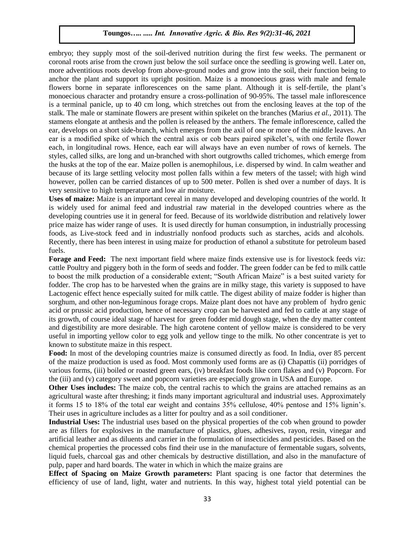embryo; they supply most of the soil-derived nutrition during the first few weeks. The permanent or coronal roots arise from the crown just below the soil surface once the seedling is growing well. Later on, more adventitious roots develop from above-ground nodes and grow into the soil, their function being to anchor the plant and support its upright position. Maize is a monoecious grass with male and female flowers borne in separate inflorescences on the same plant. Although it is self-fertile, the plant"s monoecious character and protandry ensure a cross-pollination of 90-95%. The tassel male inflorescence is a terminal panicle, up to 40 cm long, which stretches out from the enclosing leaves at the top of the stalk. The male or staminate flowers are present within spikelet on the branches (Marius *et al.,* 2011). The stamens elongate at anthesis and the pollen is released by the anthers. The female inflorescence, called the ear, develops on a short side-branch, which emerges from the axil of one or more of the middle leaves. An ear is a modified spike of which the central axis or cob bears paired spikelet"s, with one fertile flower each, in longitudinal rows. Hence, each ear will always have an even number of rows of kernels. The styles, called silks, are long and un-branched with short outgrowths called trichomes, which emerge from the husks at the top of the ear. Maize pollen is anemophilous, i.e. dispersed by wind. In calm weather and because of its large settling velocity most pollen falls within a few meters of the tassel; with high wind however, pollen can be carried distances of up to 500 meter. Pollen is shed over a number of days. It is very sensitive to high temperature and low air moisture.

**Uses of maize:** Maize is an important cereal in many developed and developing countries of the world. It is widely used for animal feed and industrial raw material in the developed countries where as the developing countries use it in general for feed. Because of its worldwide distribution and relatively lower price maize has wider range of uses. It is used directly for human consumption, in industrially processing foods, as Live-stock feed and in industrially nonfood products such as starches, acids and alcohols. Recently, there has been interest in using maize for production of ethanol a substitute for petroleum based fuels.

**Forage and Feed:** The next important field where maize finds extensive use is for livestock feeds viz: cattle Poultry and piggery both in the form of seeds and fodder. The green fodder can be fed to milk cattle to boost the milk production of a considerable extent; "South African Maize" is a best suited variety for fodder. The crop has to be harvested when the grains are in milky stage, this variety is supposed to have Lactogenic effect hence especially suited for milk cattle. The digest ability of maize fodder is higher than sorghum, and other non-leguminous forage crops. Maize plant does not have any problem of hydro genic acid or prussic acid production, hence of necessary crop can be harvested and fed to cattle at any stage of its growth, of course ideal stage of harvest for green fodder mid dough stage, when the dry matter content and digestibility are more desirable. The high carotene content of yellow maize is considered to be very useful in importing yellow color to egg yolk and yellow tinge to the milk. No other concentrate is yet to known to substitute maize in this respect.

**Food:** In most of the developing countries maize is consumed directly as food. In India, over 85 percent of the maize production is used as food. Most commonly used forms are as (i) Chapattis (ii) porridges of various forms, (iii) boiled or roasted green ears, (iv) breakfast foods like corn flakes and (v) [Popcorn.](http://cornindia.com/popcorn/) For the (iii) and (v) category sweet and [popcorn](http://cornindia.com/popcorn/) varieties are especially grown in USA and Europe.

**Other Uses includes:** The maize cob, the central rachis to which the grains are attached remains as an agricultural waste after threshing; it finds many important agricultural and industrial uses. Approximately it forms 15 to 18% of the total ear weight and contains 35% cellulose, 40% pentose and 15% lignin"s. Their uses in agriculture includes as a litter for poultry and as a soil conditioner.

**Industrial Uses:** The industrial uses based on the physical properties of the cob when ground to powder are as fillers for explosives in the manufacture of plastics, glues, adhesives, rayon, resin, vinegar and artificial leather and as diluents and carrier in the formulation of insecticides and pesticides. Based on the chemical properties the processed cobs find their use in the manufacture of fermentable sugars, solvents, liquid fuels, charcoal gas and other chemicals by destructive distillation, and also in the manufacture of pulp, paper and hard boards. The water in which in which the maize grains are

**Effect of Spacing on Maize Growth parameters:** Plant spacing is one factor that determines the efficiency of use of land, light, water and nutrients. In this way, highest total yield potential can be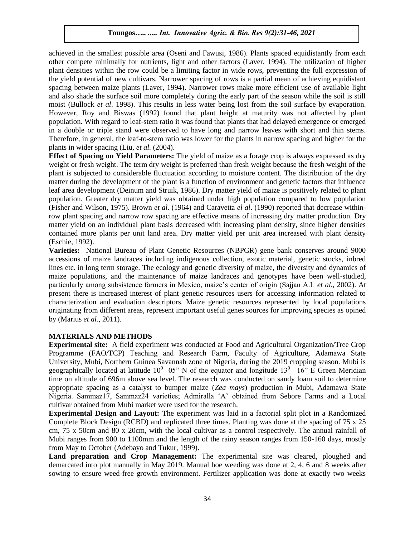achieved in the smallest possible area (Oseni and Fawusi, 1986). Plants spaced equidistantly from each other compete minimally for nutrients, light and other factors (Laver, 1994). The utilization of higher plant densities within the row could be a limiting factor in wide rows, preventing the full expression of the yield potential of new cultivars. Narrower spacing of rows is a partial mean of achieving equidistant spacing between maize plants (Laver, 1994). Narrower rows make more efficient use of available light and also shade the surface soil more completely during the early part of the season while the soil is still moist (Bullock *et al*. 1998). This results in less water being lost from the soil surface by evaporation. However, Roy and Biswas (1992) found that plant height at maturity was not affected by plant population. With regard to leaf-stem ratio it was found that plants that had delayed emergence or emerged in a double or triple stand were observed to have long and narrow leaves with short and thin stems. Therefore, in general, the leaf-to-stem ratio was lower for the plants in narrow spacing and higher for the plants in wider spacing (Liu, *et al.* (2004).

**Effect of Spacing on Yield Parameters:** The yield of maize as a forage crop is always expressed as dry weight or fresh weight. The term dry weight is preferred than fresh weight because the fresh weight of the plant is subjected to considerable fluctuation according to moisture content. The distribution of the dry matter during the development of the plant is a function of environment and genetic factors that influence leaf area development (Deinum and Struik, 1986). Dry matter yield of maize is positively related to plant population. Greater dry matter yield was obtained under high population compared to low population (Fisher and Wilson, 1975). Brown *et al*. (1964) and Caravetta *el al*. (1990) reported that decrease withinrow plant spacing and narrow row spacing are effective means of increasing dry matter production. Dry matter yield on an individual plant basis decreased with increasing plant density, since higher densities contained more plants per unit land area. Dry matter yield per unit area increased with plant density (Eschie, 1992).

**Varieties:** National Bureau of Plant Genetic Resources (NBPGR) gene bank conserves around 9000 accessions of maize landraces including indigenous collection, exotic material, genetic stocks, inbred lines etc. in long term storage. The ecology and genetic diversity of maize, the diversity and dynamics of maize populations, and the maintenance of maize landraces and genotypes have been well-studied, particularly among subsistence farmers in Mexico, maize"s center of origin (Sajjan A.L *et al.,* 2002). At present there is increased interest of plant genetic resources users for accessing information related to characterization and evaluation descriptors. Maize genetic resources represented by local populations originating from different areas, represent important useful genes sources for improving species as opined by (Marius *et al.,* 2011).

# **MATERIALS AND METHODS**

**Experimental site:** A field experiment was conducted at Food and Agricultural Organization/Tree Crop Programme (FAO/TCP) Teaching and Research Farm, Faculty of Agriculture, Adamawa State University, Mubi, Northern Guinea Savannah zone of Nigeria, during the 2019 cropping season. Mubi is geographically located at latitude  $10^0$  05" N of the equator and longitude  $13^0$  16" E Green Meridian time on altitude of 696m above sea level. The research was conducted on sandy loam soil to determine appropriate spacing as a catalyst to bumper maize (*Zea mays*) production in Mubi, Adamawa State Nigeria. Sammaz17, Sammaz24 varieties; Admiralla "A" obtained from Sebore Farms and a Local cultivar obtained from Mubi market were used for the research.

**Experimental Design and Layout:** The experiment was laid in a factorial split plot in a Randomized Complete Block Design (RCBD) and replicated three times. Planting was done at the spacing of 75 x 25 cm, 75 x 50cm and 80 x 20cm, with the local cultivar as a control respectively. The annual rainfall of Mubi ranges from 900 to 1100mm and the length of the rainy season ranges from 150-160 days, mostly from May to October (Adebayo and Tukur, 1999).

Land preparation and Crop Management: The experimental site was cleared, ploughed and demarcated into plot manually in May 2019. Manual hoe weeding was done at 2, 4, 6 and 8 weeks after sowing to ensure weed-free growth environment. Fertilizer application was done at exactly two weeks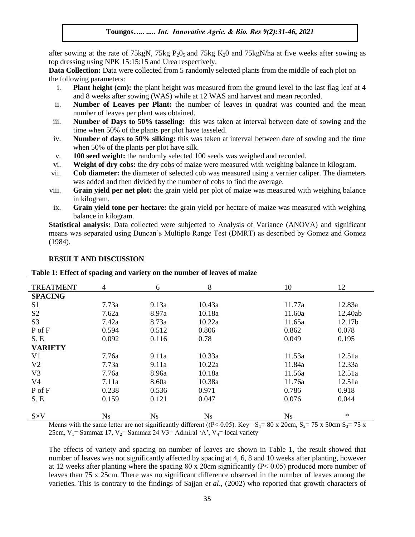after sowing at the rate of 75kgN, 75kg  $P_2O_5$  and 75kg K<sub>2</sub>0 and 75kgN/ha at five weeks after sowing as top dressing using NPK 15:15:15 and Urea respectively.

**Data Collection:** Data were collected from 5 randomly selected plants from the middle of each plot on the following parameters:

- i. **Plant height (cm):** the plant height was measured from the ground level to the last flag leaf at 4 and 8 weeks after sowing (WAS) while at 12 WAS and harvest and mean recorded.
- ii. **Number of Leaves per Plant:** the number of leaves in quadrat was counted and the mean number of leaves per plant was obtained.
- iii. **Number of Days to 50% tasseling:** this was taken at interval between date of sowing and the time when 50% of the plants per plot have tasseled.
- iv. **Number of days to 50% silking:** this was taken at interval between date of sowing and the time when 50% of the plants per plot have silk.
- v. **100 seed weight:** the randomly selected 100 seeds was weighed and recorded.
- vi. **Weight of dry cobs:** the dry cobs of maize were measured with weighing balance in kilogram.
- vii. **Cob diameter:** the diameter of selected cob was measured using a vernier caliper. The diameters was added and then divided by the number of cobs to find the average.
- viii. **Grain yield per net plot:** the grain yield per plot of maize was measured with weighing balance in kilogram.
- ix. **Grain yield tone per hectare:** the grain yield per hectare of maize was measured with weighing balance in kilogram.

**Statistical analysis:** Data collected were subjected to Analysis of Variance (ANOVA) and significant means was separated using Duncan"s Multiple Range Test (DMRT) as described by Gomez and Gomez (1984).

| <b>TREATMENT</b> | $\overline{4}$ | 6     | 8         | 10        | 12      |
|------------------|----------------|-------|-----------|-----------|---------|
| <b>SPACING</b>   |                |       |           |           |         |
| S <sub>1</sub>   | 7.73a          | 9.13a | 10.43a    | 11.77a    | 12.83a  |
| S <sub>2</sub>   | 7.62a          | 8.97a | 10.18a    | 11.60a    | 12.40ab |
| S <sub>3</sub>   | 7.42a          | 8.73a | 10.22a    | 11.65a    | 12.17b  |
| $P$ of $F$       | 0.594          | 0.512 | 0.806     | 0.862     | 0.078   |
| S.E              | 0.092          | 0.116 | 0.78      | 0.049     | 0.195   |
| <b>VARIETY</b>   |                |       |           |           |         |
| V <sub>1</sub>   | 7.76a          | 9.11a | 10.33a    | 11.53a    | 12.51a  |
| V <sub>2</sub>   | 7.73a          | 9.11a | 10.22a    | 11.84a    | 12.33a  |
| V <sub>3</sub>   | 7.76a          | 8.96a | 10.18a    | 11.56a    | 12.51a  |
| V4               | 7.11a          | 8.60a | 10.38a    | 11.76a    | 12.51a  |
| P of F           | 0.238          | 0.536 | 0.971     | 0.786     | 0.918   |
| S.E              | 0.159          | 0.121 | 0.047     | 0.076     | 0.044   |
| $S \times V$     | <b>Ns</b>      | Ns    | <b>Ns</b> | <b>Ns</b> | $\ast$  |

## **RESULT AND DISCUSSION**

**Table 1: Effect of spacing and variety on the number of leaves of maize** 

Means with the same letter are not significantly different ( $(P< 0.05)$ . Key= S<sub>1</sub>= 80 x 20cm, S<sub>2</sub>= 75 x 50cm S<sub>3</sub>= 75 x 25cm,  $V_1$ = Sammaz 17,  $V_2$ = Sammaz 24 V3= Admiral 'A',  $V_4$ = local variety

The effects of variety and spacing on number of leaves are shown in Table 1, the result showed that number of leaves was not significantly affected by spacing at 4, 6, 8 and 10 weeks after planting, however at 12 weeks after planting where the spacing 80 x 20cm significantly (P˂ 0.05) produced more number of leaves than 75 x 25cm. There was no significant difference observed in the number of leaves among the varieties. This is contrary to the findings of Sajjan *et al*., (2002) who reported that growth characters of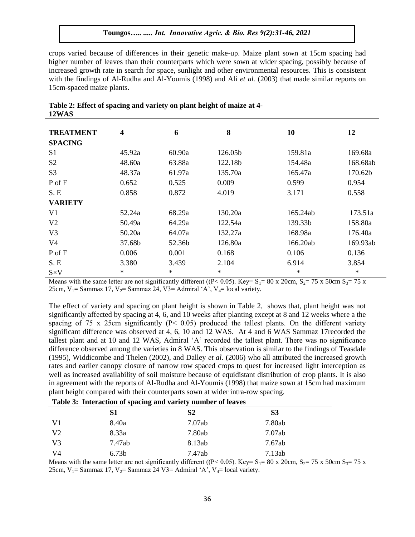crops varied because of differences in their genetic make-up. Maize plant sown at 15cm spacing had higher number of leaves than their counterparts which were sown at wider spacing, possibly because of increased growth rate in search for space, sunlight and other environmental resources. This is consistent with the findings of Al-Rudha and Al-Youmis (1998) and Ali *et al.* (2003) that made similar reports on 15cm-spaced maize plants.

| <b>TREATMENT</b> | 4      | 6      | 8       | 10       | 12       |
|------------------|--------|--------|---------|----------|----------|
| <b>SPACING</b>   |        |        |         |          |          |
| S <sub>1</sub>   | 45.92a | 60.90a | 126.05b | 159.81a  | 169.68a  |
| S <sub>2</sub>   | 48.60a | 63.88a | 122.18b | 154.48a  | 168.68ab |
| S <sub>3</sub>   | 48.37a | 61.97a | 135.70a | 165.47a  | 170.62b  |
| P of F           | 0.652  | 0.525  | 0.009   | 0.599    | 0.954    |
| S.E              | 0.858  | 0.872  | 4.019   | 3.171    | 0.558    |
| <b>VARIETY</b>   |        |        |         |          |          |
| V <sub>1</sub>   | 52.24a | 68.29a | 130.20a | 165.24ab | 173.51a  |
| V <sub>2</sub>   | 50.49a | 64.29a | 122.54a | 139.33b  | 158.80a  |
| V <sub>3</sub>   | 50.20a | 64.07a | 132.27a | 168.98a  | 176.40a  |
| V4               | 37.68b | 52.36b | 126.80a | 166.20ab | 169.93ab |
| P of F           | 0.006  | 0.001  | 0.168   | 0.106    | 0.136    |
| S.E              | 3.380  | 3.439  | 2.104   | 6.914    | 3.854    |
| $S \times V$     | $\ast$ | $\ast$ | $\ast$  | $\ast$   | $\ast$   |

| Table 2: Effect of spacing and variety on plant height of maize at 4- |  |  |
|-----------------------------------------------------------------------|--|--|
| 12WAS                                                                 |  |  |

Means with the same letter are not significantly different ((P < 0.05). Key= S<sub>1</sub>= 80 x 20cm, S<sub>2</sub>= 75 x 50cm S<sub>3</sub>= 75 x 25cm,  $V_1$ = Sammaz 17,  $V_2$ = Sammaz 24, V3= Admiral 'A',  $V_4$ = local variety.

The effect of variety and spacing on plant height is shown in Table 2, shows that, plant height was not significantly affected by spacing at 4, 6, and 10 weeks after planting except at 8 and 12 weeks where a the spacing of 75 x 25cm significantly ( $P<$  0.05) produced the tallest plants. On the different variety significant difference was observed at 4, 6, 10 and 12 WAS. At 4 and 6 WAS Sammaz 17recorded the tallest plant and at 10 and 12 WAS, Admiral "A" recorded the tallest plant. There was no significance difference observed among the varieties in 8 WAS. This observation is similar to the findings of Teasdale (1995), Widdicombe and Thelen (2002), and Dalley *et al.* (2006) who all attributed the increased growth rates and earlier canopy closure of narrow row spaced crops to quest for increased light interception as well as increased availability of soil moisture because of equidistant distribution of crop plants. It is also in agreement with the reports of Al-Rudha and Al-Youmis (1998) that maize sown at 15cm had maximum plant height compared with their counterparts sown at wider intra-row spacing.

|                |                   | <b>THOICE:</b> Interaction of spacing and variety number of icaves |        |  |
|----------------|-------------------|--------------------------------------------------------------------|--------|--|
|                | S1                | S2                                                                 | S3     |  |
| V <sub>1</sub> | 8.40a             | 7.07ab                                                             | 7.80ab |  |
| V <sub>2</sub> | 8.33a             | 7.80ab                                                             | 7.07ab |  |
| $V_3$          | 7.47ab            | 8.13ab                                                             | 7.67ab |  |
| V4             | 6.73 <sub>b</sub> | 7.47ab                                                             | 7.13ab |  |
|                |                   |                                                                    |        |  |

**Table 3: Interaction of spacing and variety number of leaves** 

Means with the same letter are not significantly different ((P < 0.05). Key=  $S_1$  = 80 x 20cm,  $S_2$  = 75 x 50cm  $S_3$  = 75 x 25cm,  $V_1$ = Sammaz 17,  $V_2$ = Sammaz 24 V3= Admiral 'A',  $V_4$ = local variety.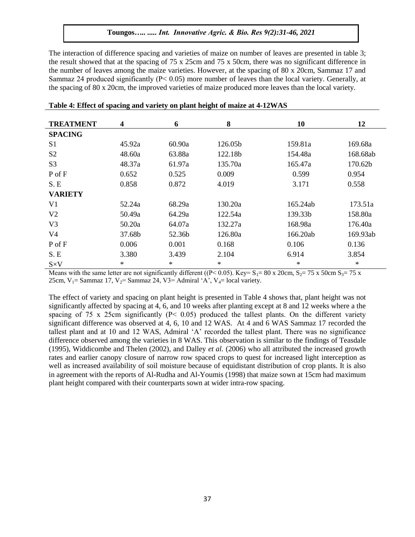The interaction of difference spacing and varieties of maize on number of leaves are presented in table 3; the result showed that at the spacing of 75 x 25cm and 75 x 50cm, there was no significant difference in the number of leaves among the maize varieties. However, at the spacing of 80 x 20cm, Sammaz 17 and Sammaz 24 produced significantly (P˂ 0.05) more number of leaves than the local variety. Generally, at the spacing of 80 x 20cm, the improved varieties of maize produced more leaves than the local variety.

| <b>TREATMENT</b> | $\overline{\mathbf{4}}$ | 6      | 8       | 10       | 12       |
|------------------|-------------------------|--------|---------|----------|----------|
| <b>SPACING</b>   |                         |        |         |          |          |
| S <sub>1</sub>   | 45.92a                  | 60.90a | 126.05b | 159.81a  | 169.68a  |
| S <sub>2</sub>   | 48.60a                  | 63.88a | 122.18b | 154.48a  | 168.68ab |
| S <sub>3</sub>   | 48.37a                  | 61.97a | 135.70a | 165.47a  | 170.62b  |
| P of F           | 0.652                   | 0.525  | 0.009   | 0.599    | 0.954    |
| S.E              | 0.858                   | 0.872  | 4.019   | 3.171    | 0.558    |
| <b>VARIETY</b>   |                         |        |         |          |          |
| V <sub>1</sub>   | 52.24a                  | 68.29a | 130.20a | 165.24ab | 173.51a  |
| V <sub>2</sub>   | 50.49a                  | 64.29a | 122.54a | 139.33b  | 158.80a  |
| V <sub>3</sub>   | 50.20a                  | 64.07a | 132.27a | 168.98a  | 176.40a  |
| V4               | 37.68b                  | 52.36b | 126.80a | 166.20ab | 169.93ab |
| P of F           | 0.006                   | 0.001  | 0.168   | 0.106    | 0.136    |
| S.E              | 3.380                   | 3.439  | 2.104   | 6.914    | 3.854    |
| $S \times V$     | $\ast$                  | $\ast$ | $\ast$  | $\ast$   | $\ast$   |

|  | Table 4: Effect of spacing and variety on plant height of maize at 4-12WAS |
|--|----------------------------------------------------------------------------|
|  |                                                                            |

Means with the same letter are not significantly different ((P < 0.05). Key=  $S_1$  = 80 x 20cm,  $S_2$  = 75 x 50cm  $S_3$  = 75 x 25cm,  $V_1$  = Sammaz 17,  $V_2$  = Sammaz 24, V3 = Admiral 'A',  $V_4$  = local variety.

The effect of variety and spacing on plant height is presented in Table 4 shows that, plant height was not significantly affected by spacing at 4, 6, and 10 weeks after planting except at 8 and 12 weeks where a the spacing of 75 x 25cm significantly ( $P < 0.05$ ) produced the tallest plants. On the different variety significant difference was observed at 4, 6, 10 and 12 WAS. At 4 and 6 WAS Sammaz 17 recorded the tallest plant and at 10 and 12 WAS, Admiral "A" recorded the tallest plant. There was no significance difference observed among the varieties in 8 WAS. This observation is similar to the findings of Teasdale (1995), Widdicombe and Thelen (2002), and Dalley *et al.* (2006) who all attributed the increased growth rates and earlier canopy closure of narrow row spaced crops to quest for increased light interception as well as increased availability of soil moisture because of equidistant distribution of crop plants. It is also in agreement with the reports of Al-Rudha and Al-Youmis (1998) that maize sown at 15cm had maximum plant height compared with their counterparts sown at wider intra-row spacing.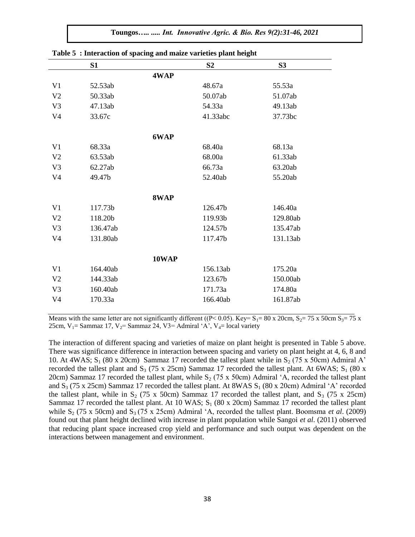**Toungos***….. ..... Int. Innovative Agric. & Bio. Res 9(2):31-46, 2021*

|                | S1       |       | S <sub>2</sub> | S3       |
|----------------|----------|-------|----------------|----------|
|                |          | 4WAP  |                |          |
| V <sub>1</sub> | 52.53ab  |       | 48.67a         | 55.53a   |
| V <sub>2</sub> | 50.33ab  |       | 50.07ab        | 51.07ab  |
| V <sub>3</sub> | 47.13ab  |       | 54.33a         | 49.13ab  |
| V <sub>4</sub> | 33.67c   |       | 41.33abc       | 37.73bc  |
|                |          | 6WAP  |                |          |
| V <sub>1</sub> | 68.33a   |       | 68.40a         | 68.13a   |
| V <sub>2</sub> | 63.53ab  |       | 68.00a         | 61.33ab  |
| V <sub>3</sub> | 62.27ab  |       | 66.73a         | 63.20ab  |
| V <sub>4</sub> | 49.47b   |       | 52.40ab        | 55.20ab  |
|                |          | 8WAP  |                |          |
| V <sub>1</sub> | 117.73b  |       | 126.47b        | 146.40a  |
| V <sub>2</sub> | 118.20b  |       | 119.93b        | 129.80ab |
| V <sub>3</sub> | 136.47ab |       | 124.57b        | 135.47ab |
| V <sub>4</sub> | 131.80ab |       | 117.47b        | 131.13ab |
|                |          | 10WAP |                |          |
| V <sub>1</sub> | 164.40ab |       | 156.13ab       | 175.20a  |
| V <sub>2</sub> | 144.33ab |       | 123.67b        | 150.00ab |
| V <sub>3</sub> | 160.40ab |       | 171.73a        | 174.80a  |
| V <sub>4</sub> | 170.33a  |       | 166.40ab       | 161.87ab |
|                |          |       |                |          |

**Table 5 : Interaction of spacing and maize varieties plant height** 

Means with the same letter are not significantly different ((P < 0.05). Key=  $S_1$  = 80 x 20cm,  $S_2$  = 75 x 50cm  $S_3$  = 75 x 25cm,  $V_1$ = Sammaz 17,  $V_2$ = Sammaz 24, V3= Admiral 'A',  $V_4$ = local variety

The interaction of different spacing and varieties of maize on plant height is presented in Table 5 above. There was significance difference in interaction between spacing and variety on plant height at 4, 6, 8 and 10. At 4WAS;  $S_1$  (80 x 20cm) Sammaz 17 recorded the tallest plant while in  $S_2$  (75 x 50cm) Admiral A' recorded the tallest plant and  $S_3$  (75 x 25cm) Sammaz 17 recorded the tallest plant. At 6WAS;  $S_1$  (80 x 20cm) Sammaz 17 recorded the tallest plant, while  $S_2$  (75 x 50cm) Admiral 'A, recorded the tallest plant and  $S_3$  (75 x 25cm) Sammaz 17 recorded the tallest plant. At 8WAS  $S_1$  (80 x 20cm) Admiral 'A' recorded the tallest plant, while in  $S_2$  (75 x 50cm) Sammaz 17 recorded the tallest plant, and  $S_3$  (75 x 25cm) Sammaz 17 recorded the tallest plant. At 10 WAS;  $S_1$  (80 x 20cm) Sammaz 17 recorded the tallest plant while  $S_2$  (75 x 50cm) and  $S_3$  (75 x 25cm) Admiral 'A, recorded the tallest plant. Boomsma *et al.* (2009) found out that plant height declined with increase in plant population while Sangoi *et al*. (2011) observed that reducing plant space increased crop yield and performance and such output was dependent on the interactions between management and environment.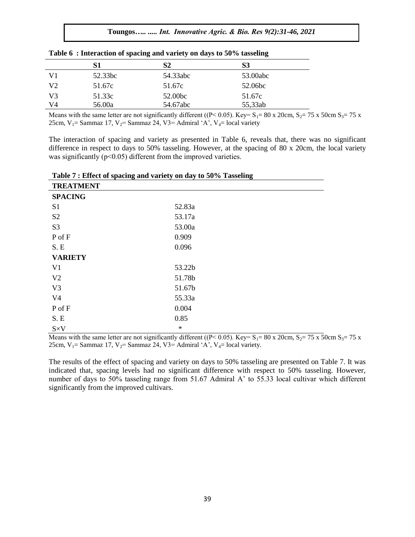|                | S1      | S2       | S3       |  |
|----------------|---------|----------|----------|--|
| V1             | 52.33bc | 54.33abc | 53.00abc |  |
| V <sub>2</sub> | 51.67c  | 51.67c   | 52.06bc  |  |
| V <sub>3</sub> | 51.33c  | 52.00bc  | 51.67c   |  |
| V4             | 56.00a  | 54.67abc | 55,33ab  |  |

|  |  |  | Table 6: Interaction of spacing and variety on days to 50% tasseling |  |  |  |  |  |  |  |  |
|--|--|--|----------------------------------------------------------------------|--|--|--|--|--|--|--|--|
|--|--|--|----------------------------------------------------------------------|--|--|--|--|--|--|--|--|

Means with the same letter are not significantly different ((P< 0.05). Key= S<sub>1</sub>= 80 x 20cm, S<sub>2</sub>= 75 x 50cm S<sub>3</sub>= 75 x 25cm,  $V_1$ = Sammaz 17,  $V_2$ = Sammaz 24, V3= Admiral 'A', V<sub>4</sub>= local variety

The interaction of spacing and variety as presented in Table 6, reveals that, there was no significant difference in respect to days to 50% tasseling. However, at the spacing of 80 x 20cm, the local variety was significantly ( $p<0.05$ ) different from the improved varieties.

| Table 7 : Effect of spacing and variety on day to 50% Tasseling |  |
|-----------------------------------------------------------------|--|
| <b>ERRY LER ERATE</b>                                           |  |

| <b>TREATMENT</b> |        |
|------------------|--------|
| <b>SPACING</b>   |        |
| S1               | 52.83a |
| S <sub>2</sub>   | 53.17a |
| S <sub>3</sub>   | 53.00a |
| P of F           | 0.909  |
| S.E              | 0.096  |
| <b>VARIETY</b>   |        |
| V <sub>1</sub>   | 53.22b |
| V <sub>2</sub>   | 51.78b |
| V <sub>3</sub>   | 51.67b |
| V <sub>4</sub>   | 55.33a |
| P of F           | 0.004  |
| S.E              | 0.85   |
| $S \times V$     | $\ast$ |

Means with the same letter are not significantly different ((P< 0.05). Key= S<sub>1</sub>= 80 x 20cm, S<sub>2</sub>= 75 x 50cm S<sub>3</sub>= 75 x 25cm,  $V_1$ = Sammaz 17,  $V_2$ = Sammaz 24, V3= Admiral 'A',  $V_4$ = local variety.

The results of the effect of spacing and variety on days to 50% tasseling are presented on Table 7. It was indicated that, spacing levels had no significant difference with respect to 50% tasseling. However, number of days to 50% tasseling range from 51.67 Admiral A" to 55.33 local cultivar which different significantly from the improved cultivars.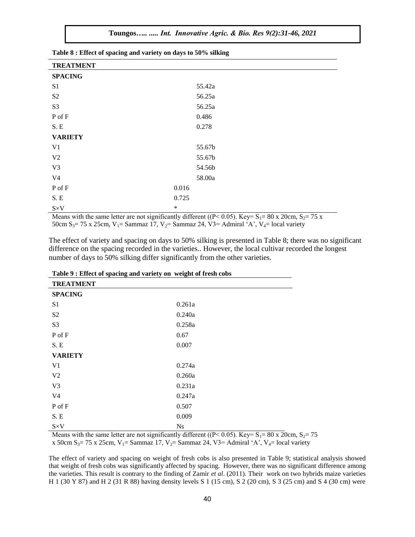| <b>TREATMENT</b> |        |
|------------------|--------|
| <b>SPACING</b>   |        |
| S <sub>1</sub>   | 55.42a |
| S <sub>2</sub>   | 56.25a |
| S <sub>3</sub>   | 56.25a |
| P of F           | 0.486  |
| S.E              | 0.278  |
| <b>VARIETY</b>   |        |
| V <sub>1</sub>   | 55.67b |
| V <sub>2</sub>   | 55.67b |
| V <sub>3</sub>   | 54.56b |
| V <sub>4</sub>   | 58.00a |
| P of F           | 0.016  |
| $S.E$            | 0.725  |
| $S \times V$     | $\ast$ |

**Table 8 : Effect of spacing and variety on days to 50% silking** 

Means with the same letter are not significantly different ((P < 0.05). Key=  $S_1$  = 80 x 20cm,  $S_2$  = 75 x 50cm S<sub>3</sub>= 75 x 25cm, V<sub>1</sub>= Sammaz 17, V<sub>2</sub>= Sammaz 24, V3= Admiral 'A', V<sub>4</sub>= local variety

The effect of variety and spacing on days to 50% silking is presented in Table 8; there was no significant difference on the spacing recorded in the varieties.. However, the local cultivar recorded the longest number of days to 50% silking differ significantly from the other varieties.

| where $\lambda$ is allowed the operating value (where $\eta$ ) can we appear the first violet<br><b>TREATMENT</b> |        |
|-------------------------------------------------------------------------------------------------------------------|--------|
| <b>SPACING</b>                                                                                                    |        |
| S <sub>1</sub>                                                                                                    | 0.261a |
| S <sub>2</sub>                                                                                                    | 0.240a |
| S <sub>3</sub>                                                                                                    | 0.258a |
| P of F                                                                                                            | 0.67   |
| S.E                                                                                                               | 0.007  |
| <b>VARIETY</b>                                                                                                    |        |
| V <sub>1</sub>                                                                                                    | 0.274a |
| V <sub>2</sub>                                                                                                    | 0.260a |
| V <sub>3</sub>                                                                                                    | 0.231a |
| V <sub>4</sub>                                                                                                    | 0.247a |
| P of F                                                                                                            | 0.507  |
| S.E                                                                                                               | 0.009  |
| $S \times V$                                                                                                      | Ns     |

|  | Table 9 : Effect of spacing and variety on weight of fresh cobs |  |  |  |  |
|--|-----------------------------------------------------------------|--|--|--|--|
|--|-----------------------------------------------------------------|--|--|--|--|

Means with the same letter are not significantly different ( $(P< 0.05)$ . Key= S<sub>1</sub>= 80 x 20cm, S<sub>2</sub>= 75

x 50cm S<sub>3</sub>= 75 x 25cm, V<sub>1</sub>= Sammaz 17, V<sub>2</sub>= Sammaz 24, V3= Admiral 'A', V<sub>4</sub>= local variety

The effect of variety and spacing on weight of fresh cobs is also presented in Table 9; statistical analysis showed that weight of fresh cobs was significantly affected by spacing. However, there was no significant difference among the varieties. This result is contrary to the finding of Zamir *et al*. (2011). Their work on two hybrids maize varieties H 1 (30 Y 87) and H 2 (31 R 88) having density levels S 1 (15 cm), S 2 (20 cm), S 3 (25 cm) and S 4 (30 cm) were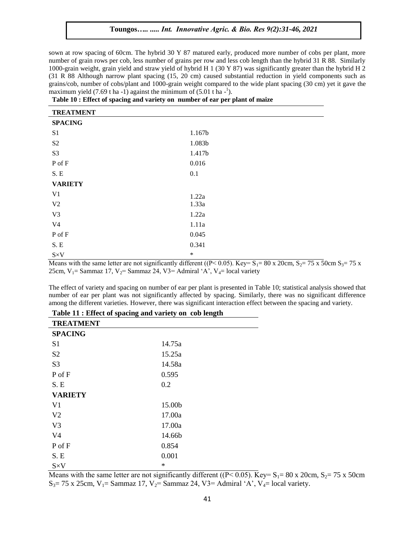sown at row spacing of 60cm. The hybrid 30 Y 87 matured early, produced more number of cobs per plant, more number of grain rows per cob, less number of grains per row and less cob length than the hybrid 31 R 88. Similarly 1000-grain weight, grain yield and straw yield of hybrid H 1 (30 Y 87) was significantly greater than the hybrid H 2 (31 R 88 Although narrow plant spacing (15, 20 cm) caused substantial reduction in yield components such as grains/cob, number of cobs/plant and 1000-grain weight compared to the wide plant spacing (30 cm) yet it gave the maximum yield  $(7.69 \text{ t} \text{ ha} - 1)$  against the minimum of  $(5.01 \text{ t} \text{ ha} - 1)$ .

| <b>TREATMENT</b>       |        |
|------------------------|--------|
| <b>SPACING</b>         |        |
| S <sub>1</sub>         | 1.167b |
| S <sub>2</sub>         | 1.083b |
| S <sub>3</sub>         | 1.417b |
| ${\bf P}$ of ${\bf F}$ | 0.016  |
| S.E                    | 0.1    |
| <b>VARIETY</b>         |        |
| V <sub>1</sub>         | 1.22a  |
| V <sub>2</sub>         | 1.33a  |
| V <sub>3</sub>         | 1.22a  |
| V <sub>4</sub>         | 1.11a  |
| P of F                 | 0.045  |
| S.E                    | 0.341  |
| $S \times V$           | $\ast$ |

**Table 10 : Effect of spacing and variety on number of ear per plant of maize** 

Means with the same letter are not significantly different ((P< 0.05). Key=  $S_1$ = 80 x 20cm,  $S_2$ = 75 x 50cm  $S_3$ = 75 x 25cm,  $V_1$  = Sammaz 17,  $V_2$  = Sammaz 24, V3 = Admiral 'A',  $V_4$  = local variety

The effect of variety and spacing on number of ear per plant is presented in Table 10; statistical analysis showed that number of ear per plant was not significantly affected by spacing. Similarly, there was no significant difference among the different varieties. However, there was significant interaction effect between the spacing and variety.

| Table 11 : Effect of spacing and variety on cob length |        |  |
|--------------------------------------------------------|--------|--|
| <b>TREATMENT</b>                                       |        |  |
| <b>SPACING</b>                                         |        |  |
| S1                                                     | 14.75a |  |
| S <sub>2</sub>                                         | 15.25a |  |
| S <sub>3</sub>                                         | 14.58a |  |
| $P$ of $F$                                             | 0.595  |  |
| S. E                                                   | 0.2    |  |
| <b>VARIETY</b>                                         |        |  |
| V <sub>1</sub>                                         | 15.00b |  |
| V <sub>2</sub>                                         | 17.00a |  |
| V <sub>3</sub>                                         | 17.00a |  |
| V4                                                     | 14.66b |  |
| P of F                                                 | 0.854  |  |
| S.E                                                    | 0.001  |  |
| $S \times V$                                           | ∗      |  |

Means with the same letter are not significantly different ( $(P< 0.05)$ ). Key= S<sub>1</sub>= 80 x 20cm, S<sub>2</sub>= 75 x 50cm  $S_3$  = 75 x 25cm, V<sub>1</sub> = Sammaz 17, V<sub>2</sub> = Sammaz 24, V3 = Admiral 'A', V<sub>4</sub> = local variety.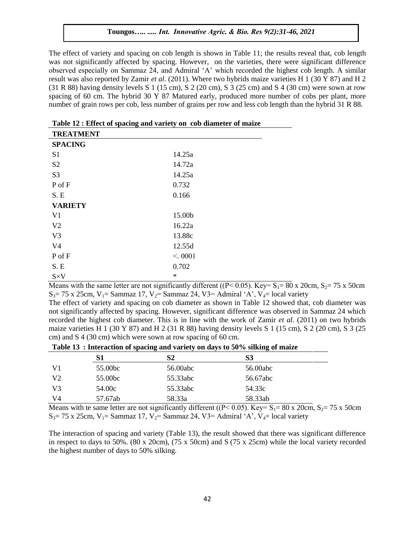The effect of variety and spacing on cob length is shown in Table 11; the results reveal that, cob length was not significantly affected by spacing. However, on the varieties, there were significant difference observed especially on Sammaz 24, and Admiral "A" which recorded the highest cob length. A similar result was also reported by Zamir *et al*. (2011). Where two hybrids maize varieties H 1 (30 Y 87) and H 2 (31 R 88) having density levels S 1 (15 cm), S 2 (20 cm), S 3 (25 cm) and S 4 (30 cm) were sown at row spacing of 60 cm. The hybrid 30 Y 87 Matured early, produced more number of cobs per plant, more number of grain rows per cob, less number of grains per row and less cob length than the hybrid 31 R 88.

| Tuber 12 Charles of Spacing and Variety on you diameter of manne<br><b>TREATMENT</b> |        |
|--------------------------------------------------------------------------------------|--------|
| <b>SPACING</b>                                                                       |        |
| S <sub>1</sub>                                                                       | 14.25a |
| S <sub>2</sub>                                                                       | 14.72a |
| S <sub>3</sub>                                                                       | 14.25a |
| P of F                                                                               | 0.732  |
| S.E                                                                                  | 0.166  |
| <b>VARIETY</b>                                                                       |        |
| V <sub>1</sub>                                                                       | 15.00b |
| V <sub>2</sub>                                                                       | 16.22a |
| V <sub>3</sub>                                                                       | 13.88c |
| V <sub>4</sub>                                                                       | 12.55d |
| P of F                                                                               | < 0001 |
| S.E                                                                                  | 0.702  |
| $S \times V$                                                                         | $\ast$ |

**Table 12 : Effect of spacing and variety on cob diameter of maize** 

Means with the same letter are not significantly different ( $(P< 0.05)$ ). Key= S<sub>1</sub>= 80 x 20cm, S<sub>2</sub>= 75 x 50cm  $S_3$  = 75 x 25cm, V<sub>1</sub> = Sammaz 17, V<sub>2</sub> = Sammaz 24, V3 = Admiral 'A', V<sub>4</sub> = local variety

The effect of variety and spacing on cob diameter as shown in Table 12 showed that, cob diameter was not significantly affected by spacing. However, significant difference was observed in Sammaz 24 which recorded the highest cob diameter. This is in line with the work of Zamir *et al*. (2011) on two hybrids maize varieties H 1 (30 Y 87) and H 2 (31 R 88) having density levels S 1 (15 cm), S 2 (20 cm), S 3 (25 cm) and S 4 (30 cm) which were sown at row spacing of 60 cm.

**Table 13 : Interaction of spacing and variety on days to 50% silking of maize** 

|                |                     | . .      | . .      |  |
|----------------|---------------------|----------|----------|--|
|                | S1                  | S2       | S3       |  |
| V1             | 55.00 <sub>bc</sub> | 56.00abc | 56.00abc |  |
| V <sub>2</sub> | 55.00 <sub>bc</sub> | 55.33abc | 56.67abc |  |
| V <sub>3</sub> | 54.00c              | 55.33abc | 54.33c   |  |
| V4             | 57.67ab             | 58.33a   | 58.33ab  |  |

Means with te same letter are not significantly different (( $P \le 0.05$ ). Key= S<sub>1</sub>= 80 x 20cm, S<sub>2</sub>= 75 x 50cm  $S_3$  = 75 x 25cm, V<sub>1</sub> = Sammaz 17, V<sub>2</sub> = Sammaz 24, V3 = Admiral 'A', V<sub>4</sub> = local variety

The interaction of spacing and variety (Table 13), the result showed that there was significant difference in respect to days to 50%. (80 x 20cm), (75 x 50cm) and S (75 x 25cm) while the local variety recorded the highest number of days to 50% silking.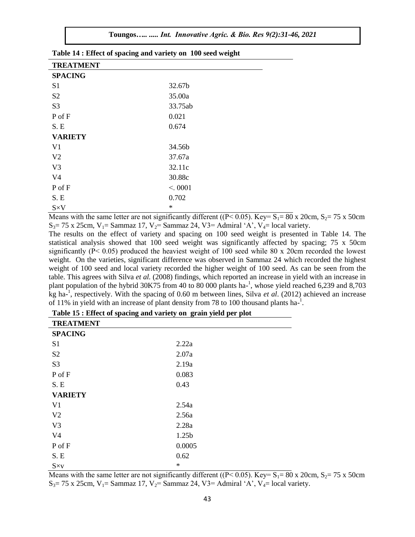| <b>TREATMENT</b> |         |
|------------------|---------|
| <b>SPACING</b>   |         |
| S <sub>1</sub>   | 32.67b  |
| S <sub>2</sub>   | 35.00a  |
| S <sub>3</sub>   | 33.75ab |
| P of F           | 0.021   |
| S.E              | 0.674   |
| <b>VARIETY</b>   |         |
| V <sub>1</sub>   | 34.56b  |
| V <sub>2</sub>   | 37.67a  |
| V <sub>3</sub>   | 32.11c  |
| V <sub>4</sub>   | 30.88c  |
| P of F           | < 0001  |
| S.E              | 0.702   |
| $S \times V$     | $\ast$  |

**Table 14 : Effect of spacing and variety on 100 seed weight** 

Means with the same letter are not significantly different ( $(P< 0.05)$ ). Key= S<sub>1</sub>= 80 x 20cm, S<sub>2</sub>= 75 x 50cm  $S_3$  = 75 x 25cm, V<sub>1</sub> = Sammaz 17, V<sub>2</sub> = Sammaz 24, V3 = Admiral 'A', V<sub>4</sub> = local variety.

The results on the effect of variety and spacing on 100 seed weight is presented in Table 14. The statistical analysis showed that 100 seed weight was significantly affected by spacing; 75 x 50cm significantly (P< 0.05) produced the heaviest weight of 100 seed while 80 x 20cm recorded the lowest weight. On the varieties, significant difference was observed in Sammaz 24 which recorded the highest weight of 100 seed and local variety recorded the higher weight of 100 seed. As can be seen from the table. This agrees with Silva *et al.* (2008) findings, which reported an increase in yield with an increase in plant population of the hybrid 30K75 from 40 to 80 000 plants ha- $^1$ , whose yield reached 6,239 and 8,703 kg ha-1 , respectively. With the spacing of 0.60 m between lines, Silva *et al*. (2012) achieved an increase of 11% in yield with an increase of plant density from 78 to 100 thousand plants ha-1.

| <b>TREATMENT</b> |        |
|------------------|--------|
| <b>SPACING</b>   |        |
| S <sub>1</sub>   | 2.22a  |
| S <sub>2</sub>   | 2.07a  |
| S <sub>3</sub>   | 2.19a  |
| P of F           | 0.083  |
| S.E              | 0.43   |
| <b>VARIETY</b>   |        |
| V <sub>1</sub>   | 2.54a  |
| V <sub>2</sub>   | 2.56a  |
| V <sub>3</sub>   | 2.28a  |
| V <sub>4</sub>   | 1.25b  |
| P of F           | 0.0005 |
| S.E              | 0.62   |
| $S \times v$     | $\ast$ |

|  | Table 15 : Effect of spacing and variety on grain yield per plot |  |
|--|------------------------------------------------------------------|--|
|  |                                                                  |  |

Means with the same letter are not significantly different ( $(P< 0.05)$ ). Key= S<sub>1</sub>= 80 x 20cm, S<sub>2</sub>= 75 x 50cm  $S_3$  = 75 x 25cm,  $V_1$  = Sammaz 17,  $V_2$  = Sammaz 24, V3 = Admiral 'A',  $V_4$  = local variety.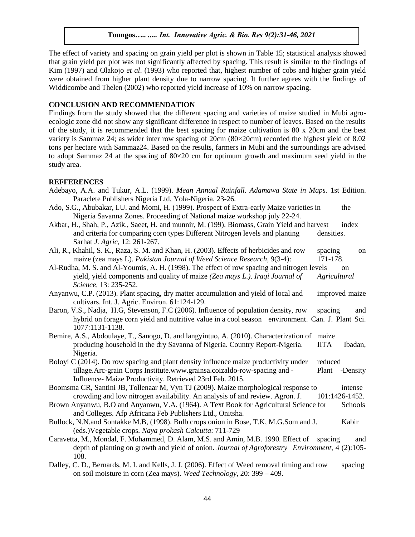The effect of variety and spacing on grain yield per plot is shown in Table 15; statistical analysis showed that grain yield per plot was not significantly affected by spacing. This result is similar to the findings of Kim (1997) and Olakojo *et al*. (1993) who reported that, highest number of cobs and higher grain yield were obtained from higher plant density due to narrow spacing. It further agrees with the findings of Widdicombe and Thelen (2002) who reported yield increase of 10% on narrow spacing.

#### **CONCLUSION AND RECOMMENDATION**

Findings from the study showed that the different spacing and varieties of maize studied in Mubi agroecologic zone did not show any significant difference in respect to number of leaves. Based on the results of the study, it is recommended that the best spacing for maize cultivation is 80 x 20cm and the best variety is Sammaz 24; as wider inter row spacing of 20cm (80×20cm) recorded the highest yield of 8.02 tons per hectare with Sammaz24. Based on the results, farmers in Mubi and the surroundings are advised to adopt Sammaz 24 at the spacing of 80×20 cm for optimum growth and maximum seed yield in the study area.

#### **REFFERENCES**

- Adebayo, A.A. and Tukur, A.L. (1999). *Mean Annual Rainfall. Adamawa State in Maps.* 1st Edition. Paraclete Publishers Nigeria Ltd, Yola-Nigeria. 23-26.
- Ado, S.G., Abubakar, I.U. and Momi, H. (1999). Prospect of Extra-early Maize varieties in the Nigeria Savanna Zones. Proceeding of National maize workshop july 22-24.
- Akbar, H., Shah, P., Azik., Saeet, H. and munnir, M. (199). Biomass, Grain Yield and harvest index and criteria for comparing corn types Different Nitrogen levels and planting densities. Sarhat *J. Agric,* 12: 261-267.
- Ali, R., Khahil, S. K., Raza, S. M. and Khan, H. (2003). Effects of herbicides and row spacing on maize (zea mays L). *Pakistan Journal of Weed Science Research*, 9(3-4): 171-178.
- Al-Rudha, M. S. and Al-Youmis, A. H. (1998). The effect of row spacing and nitrogen levels on yield, yield components and quality of maize *(Zea mays L.)*. *Iraqi Journal of Agricultural Science,* 13: 235-252.
- Anyanwu, C.P. (2013). Plant spacing, dry matter accumulation and yield of local and improved maize cultivars. Int. J. Agric. Environ. 61:124-129.
- Baron, V.S., Nadja, H.G, Stevenson, F.C (2006). Influence of population density, row spacing and hybrid on forage corn yield and nutritive value in a cool season environment. Can. J. Plant Sci. 1077:1131-1138.
- Bemire, A.S., Abdoulaye, T., Sanogo, D. and langyintuo, A. (2010). Characterization of maize producing household in the dry Savanna of Nigeria. Country Report-Nigeria. IITA Ibadan, Nigeria.
- Boloyi C (2014). Do row spacing and plant density influence maize productivity under reduced tillage.Arc-grain Corps Institute.www.grainsa.coizaldo-row-spacing and - Plant -Density Influence- Maize Productivity. Retrieved 23rd Feb. 2015.
- Boomsma CR, Santini JB, Tollenaar M, Vyn TJ (2009). Maize morphological response to intense crowding and low nitrogen availability. An analysis of and review. Agron. J. 101:1426-1452.
- Brown Anyanwu, B.O and Anyanwu, V.A. (1964). A Text Book for Agricultural Science for Schools and Colleges. Afp Africana Feb Publishers Ltd., Onitsha.
- Bullock, N.N.and Sontakke M.B, (1998). Bulb crops onion in Bose, T.K, M.G.Som and J. Kabir (eds.)Vegetable crops. *Naya prokash Calcutta*: 711-729
- Caravetta, M., Mondal, F. Mohammed, D. Alam, M.S. and Amin, M.B. 1990. Effect of spacing and depth of planting on growth and yield of onion. *Journal of Agroforestry Environment*, 4 (2):105- 108.
- Dalley, C. D., Bernards, M. I. and Kells, J. J. (2006). Effect of Weed removal timing and row spacing on soil moisture in corn (Zea mays). *Weed Technology,* 20: 399 – 409.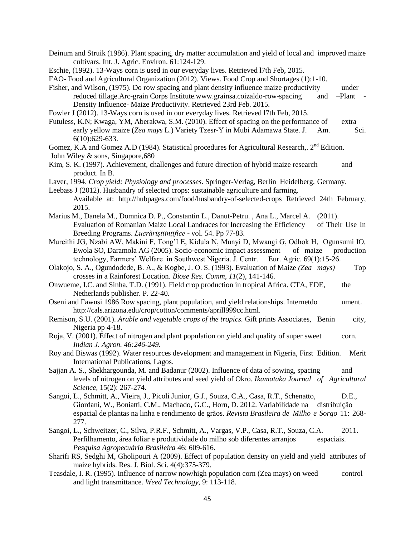Deinum and Struik (1986). Plant spacing, dry matter accumulation and yield of local and improved maize cultivars. Int. J. Agric. Environ. 61:124-129.

Eschie, (1992). 13-Ways corn is used in our everyday lives. Retrieved l7th Feb, 2015.

FAO- Food and Agricultural Organization (2012). Views. Food Crop and Shortages (1):1-10.

Fisher, and Wilson, (1975). Do row spacing and plant density influence maize productivity under reduced tillage.Arc-grain Corps Institute.www.grainsa.coizaldo-row-spacing and –Plant - Density Influence- Maize Productivity. Retrieved 23rd Feb. 2015.

Fowler J (2012). 13-Ways corn is used in our everyday lives. Retrieved l7th Feb, 2015.

Futuless, K.N; Kwaga, YM, Aberakwa, S.M. (2010). Effect of spacing on the performance of extra early yellow maize (*Zea mays L.*) Variety Tzesr-Y in Mubi Adamawa State. J. Am. Sci. 6(10):629-633.

- Gomez, K.A and Gomez A.D (1984). Statistical procedures for Agricultural Research,. 2<sup>nd</sup> Edition.
- John Wiley & sons, Singapore,680
- Kim, S. K. (1997). Achievement, challenges and future direction of hybrid maize research and product. In B.
- Laver, 1994. *Crop yield: Physiology and processes*. Springer-Verlag, Berlin Heidelberg, Germany.

Leebass J (2012). Husbandry of selected crops: sustainable agriculture and farming.

- Available at: http://hubpages.com/food/husbandry-of-selected-crops Retrieved 24th February, 2015.
- Marius M., Danela M., Domnica D. P., Constantin L., Danut-Petru. , Ana L., Marcel A. (2011). Evaluation of Romanian Maize Local Landraces for Increasing the Efficiency of Their Use In Breeding Programs. *Lucrăriştiinţifice* - vol. 54. Pp 77-83.
- Mureithi JG, Nzabi AW, Makini F, Tong"I E, Kidula N, Munyi D, Mwangi G, Odhok H, Ogunsumi IO, Ewola SO, Daramola AG (2005). Socio-economic impact assessment of maize production technology, Farmers' Welfare in Southwest Nigeria. J. Centr. Eur. Agric. 69(1):15-26. technology, Farmers' Welfare in Southwest Nigeria. J. Centr.
- Olakojo, S. A., Ogundodede, B. A., & Kogbe, J. O. S. (1993). Evaluation of Maize *(Zea mays)* Top crosses in a Rainforest Location. *Biose Res. Comm, 11*(2), 141-146.
- Onwueme, I.C. and Sinha, T.D. (1991). Field crop production in tropical Africa. CTA, EDE, the Netherlands publisher. P. 22-40.
- Oseni and Fawusi 1986 Row spacing, plant population, and yield relationships. Internetdo ument. http://cals.arizona.edu/crop/cotton/comments/aprill999cc.html.
- Remison, S.U. (2001). *Arable and vegetable crops of the tropics.* Gift prints Associates, Benin city, Nigeria pp 4-18.
- Roja, V. (2001). Effect of nitrogen and plant population on yield and quality of super sweet corn. *Indian J. Agron. 46:246-249.*
- Roy and Biswas (1992). Water resources development and management in Nigeria, First Edition. Merit International Publications, Lagos.
- Sajian A. S., Shekhargounda, M. and Badanur (2002). Influence of data of sowing, spacing and levels of nitrogen on yield attributes and seed yield of Okro. *Ikamataka Journal of Agricultural Science,* 15(2): 267-274.
- Sangoi, L., Schmitt, A., Vieira, J., Picoli Junior, G.J., Souza, C.A., Casa, R.T., Schenatto, D.E., Giordani, W., Boniatti, C.M., Machado, G.C., Horn, D. 2012. Variabilidade na distribuição espacial de plantas na linha e rendimento de grãos. *Revista Brasileira de Milho e Sorgo* 11: 268- 277.
- Sangoi, L., Schweitzer, C., Silva, P.R.F., Schmitt, A., Vargas, V.P., Casa, R.T., Souza, C.A. 2011. Perfilhamento, área foliar e produtividade do milho sob diferentes arranjos espaciais. *Pesquisa Agropecuária Brasileira* 46: 609-616.
- Sharifi RS, Sedghi M, Gholipouri A (2009). Effect of population density on yield and yield attributes of maize hybrids. Res. J. Biol. Sci. 4(4):375-379.
- Teasdale, I. R. (1995). Influence of narrow now/high population corn (Zea mays) on weed control and light transmittance. *Weed Technology*, 9: 113-118.